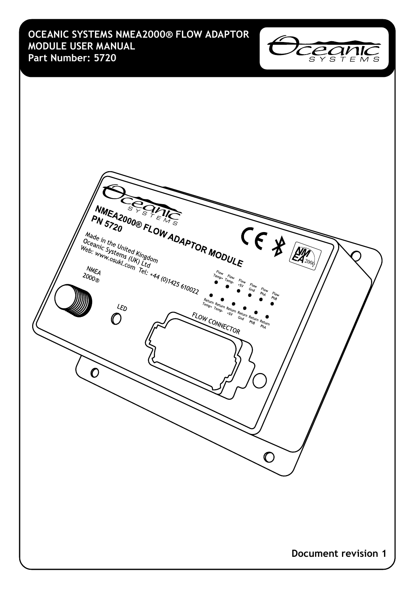**OCEANIC SYSTEMS NMEA2000® FLOW ADAPTOR MODULE USER MANUAL Part Number: 5720**



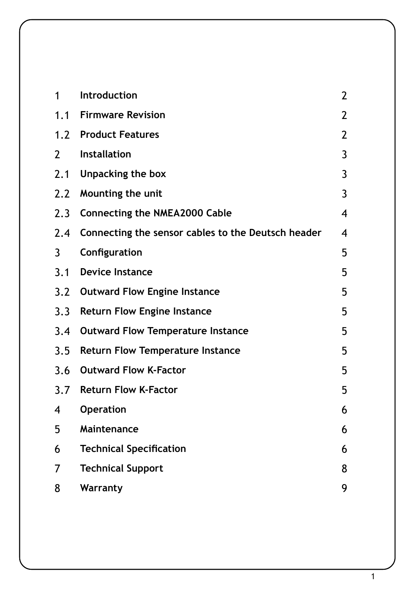| 1   | Introduction                                       | $\overline{2}$ |
|-----|----------------------------------------------------|----------------|
| 1.1 | <b>Firmware Revision</b>                           | $\overline{2}$ |
|     | 1.2 Product Features                               | $\overline{2}$ |
| 2   | <b>Installation</b>                                | 3              |
| 2.1 | Unpacking the box                                  | 3              |
| 2.2 | Mounting the unit                                  | 3              |
| 2.3 | <b>Connecting the NMEA2000 Cable</b>               | 4              |
| 2.4 | Connecting the sensor cables to the Deutsch header | 4              |
| 3   | Configuration                                      | 5              |
| 3.1 | <b>Device Instance</b>                             | 5              |
| 3.2 | <b>Outward Flow Engine Instance</b>                | 5              |
| 3.3 | <b>Return Flow Engine Instance</b>                 | 5              |
| 3.4 | <b>Outward Flow Temperature Instance</b>           | 5              |
| 3.5 | <b>Return Flow Temperature Instance</b>            | 5              |
| 3.6 | <b>Outward Flow K-Factor</b>                       | 5              |
| 3.7 | <b>Return Flow K-Factor</b>                        | 5              |
| 4   | <b>Operation</b>                                   | 6              |
| 5   | Maintenance                                        | 6              |
| 6   | <b>Technical Specification</b>                     | 6              |
| 7   | <b>Technical Support</b>                           | 8              |
| 8   | Warranty                                           | 9              |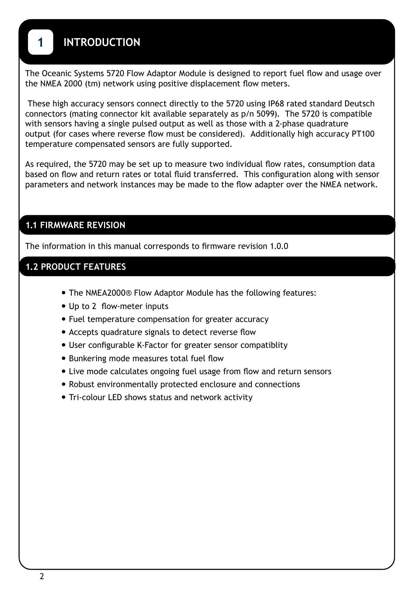# **1 INTRODUCTION**

The Oceanic Systems 5720 Flow Adaptor Module is designed to report fuel flow and usage over the NMEA 2000 (tm) network using positive displacement flow meters.

 These high accuracy sensors connect directly to the 5720 using IP68 rated standard Deutsch connectors (mating connector kit available separately as p/n 5099). The 5720 is compatible with sensors having a single pulsed output as well as those with a 2-phase quadrature output (for cases where reverse flow must be considered). Additionally high accuracy PT100 temperature compensated sensors are fully supported.

As required, the 5720 may be set up to measure two individual flow rates, consumption data based on flow and return rates or total fluid transferred. This configuration along with sensor parameters and network instances may be made to the flow adapter over the NMEA network.

#### **1.1 FIRMWARE REVISION**

The information in this manual corresponds to firmware revision 1.0.0

#### **1.2 PRODUCT FEATURES**

- **•** The NMEA2000® Flow Adaptor Module has the following features:
- **•** Up to 2 flow-meter inputs
- **•** Fuel temperature compensation for greater accuracy
- **•** Accepts quadrature signals to detect reverse flow
- **•** User configurable K-Factor for greater sensor compatiblity
- **•** Bunkering mode measures total fuel flow
- **•** Live mode calculates ongoing fuel usage from flow and return sensors
- **•** Robust environmentally protected enclosure and connections
- **•** Tri-colour LED shows status and network activity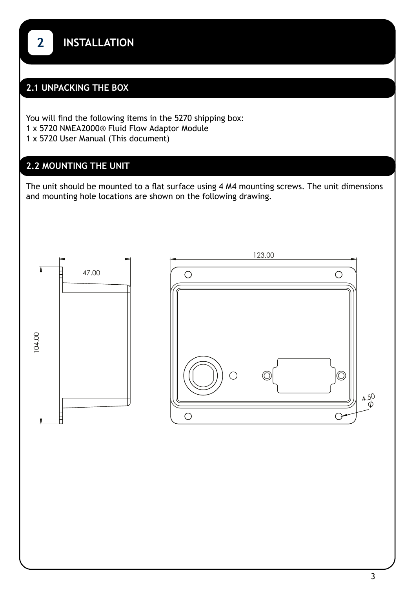### **2.1 UNPACKING THE BOX**

You will find the following items in the 5270 shipping box: 1 x 5720 NMEA2000® Fluid Flow Adaptor Module 1 x 5720 User Manual (This document)

## **2.2 MOUNTING THE UNIT**

The unit should be mounted to a flat surface using 4 M4 mounting screws. The unit dimensions and mounting hole locations are shown on the following drawing.

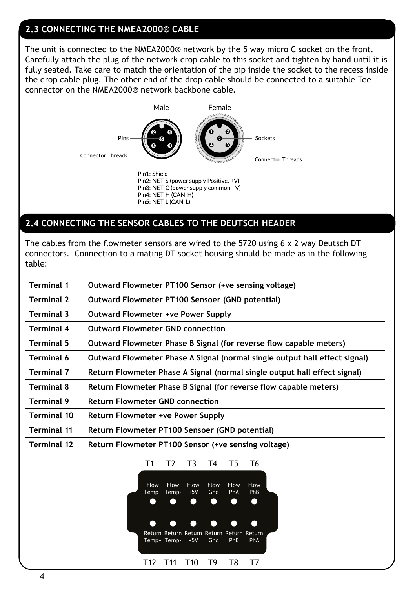#### **2.3 CONNECTING THE NMEA2000® CABLE**

The unit is connected to the NMEA2000® network by the 5 way micro C socket on the front. Carefully attach the plug of the network drop cable to this socket and tighten by hand until it is fully seated. Take care to match the orientation of the pip inside the socket to the recess inside the drop cable plug. The other end of the drop cable should be connected to a suitable Tee connector on the NMEA2000® network backbone cable.



#### **2.4 CONNECTING THE SENSOR CABLES TO THE DEUTSCH HEADER**

The cables from the flowmeter sensors are wired to the 5720 using 6 x 2 way Deutsch DT connectors. Connection to a mating DT socket housing should be made as in the following table:

| <b>Terminal 1</b>  | Outward Flowmeter PT100 Sensor (+ve sensing voltage)                       |
|--------------------|----------------------------------------------------------------------------|
| <b>Terminal 2</b>  | Outward Flowmeter PT100 Sensoer (GND potential)                            |
| <b>Terminal 3</b>  | <b>Outward Flowmeter +ve Power Supply</b>                                  |
| <b>Terminal 4</b>  | <b>Outward Flowmeter GND connection</b>                                    |
| <b>Terminal 5</b>  | Outward Flowmeter Phase B Signal (for reverse flow capable meters)         |
| <b>Terminal 6</b>  | Outward Flowmeter Phase A Signal (normal single output hall effect signal) |
| <b>Terminal 7</b>  | Return Flowmeter Phase A Signal (normal single output hall effect signal)  |
| <b>Terminal 8</b>  | Return Flowmeter Phase B Signal (for reverse flow capable meters)          |
| <b>Terminal 9</b>  | <b>Return Flowmeter GND connection</b>                                     |
| Terminal 10        | Return Flowmeter +ve Power Supply                                          |
| <b>Terminal 11</b> | Return Flowmeter PT100 Sensoer (GND potential)                             |
| <b>Terminal 12</b> | Return Flowmeter PT100 Sensor (+ve sensing voltage)                        |

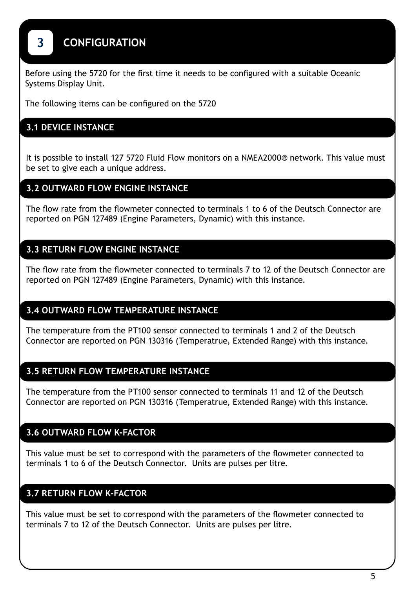# **3 CONFIGURATION**

Before using the 5720 for the first time it needs to be configured with a suitable Oceanic Systems Display Unit.

The following items can be configured on the 5720

#### **3.1 DEVICE INSTANCE**

It is possible to install 127 5720 Fluid Flow monitors on a NMEA2000® network. This value must be set to give each a unique address.

#### **3.2 OUTWARD FLOW ENGINE INSTANCE**

The flow rate from the flowmeter connected to terminals 1 to 6 of the Deutsch Connector are reported on PGN 127489 (Engine Parameters, Dynamic) with this instance.

#### **3.3 RETURN FLOW ENGINE INSTANCE**

The flow rate from the flowmeter connected to terminals 7 to 12 of the Deutsch Connector are reported on PGN 127489 (Engine Parameters, Dynamic) with this instance.

#### **3.4 OUTWARD FLOW TEMPERATURE INSTANCE**

The temperature from the PT100 sensor connected to terminals 1 and 2 of the Deutsch Connector are reported on PGN 130316 (Temperatrue, Extended Range) with this instance.

#### **3.5 RETURN FLOW TEMPERATURE INSTANCE**

The temperature from the PT100 sensor connected to terminals 11 and 12 of the Deutsch Connector are reported on PGN 130316 (Temperatrue, Extended Range) with this instance.

#### **3.6 OUTWARD FLOW K-FACTOR**

This value must be set to correspond with the parameters of the flowmeter connected to terminals 1 to 6 of the Deutsch Connector. Units are pulses per litre.

#### **3.7 RETURN FLOW K-FACTOR**

This value must be set to correspond with the parameters of the flowmeter connected to terminals 7 to 12 of the Deutsch Connector. Units are pulses per litre.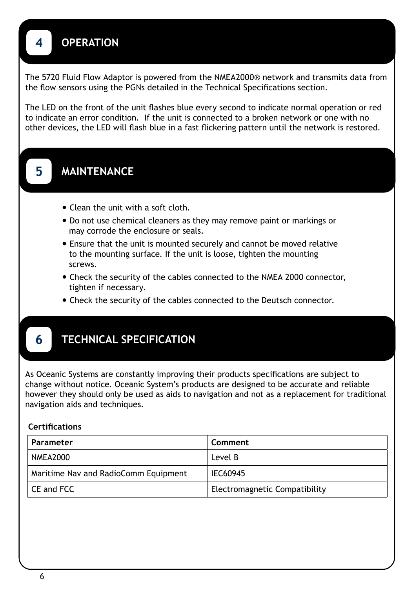# **4 OPERATION**

The 5720 Fluid Flow Adaptor is powered from the NMEA2000® network and transmits data from the flow sensors using the PGNs detailed in the Technical Specifications section.

The LED on the front of the unit flashes blue every second to indicate normal operation or red to indicate an error condition. If the unit is connected to a broken network or one with no other devices, the LED will flash blue in a fast flickering pattern until the network is restored.

# **5 MAINTENANCE**

- **•** Clean the unit with a soft cloth.
- **•** Do not use chemical cleaners as they may remove paint or markings or may corrode the enclosure or seals.
- **•** Ensure that the unit is mounted securely and cannot be moved relative to the mounting surface. If the unit is loose, tighten the mounting screws.
- **•** Check the security of the cables connected to the NMEA 2000 connector, tighten if necessary.
- **•** Check the security of the cables connected to the Deutsch connector.

## **6 TECHNICAL SPECIFICATION**

As Oceanic Systems are constantly improving their products specifications are subject to change without notice. Oceanic System's products are designed to be accurate and reliable however they should only be used as aids to navigation and not as a replacement for traditional navigation aids and techniques.

#### **Certifications**

| Parameter                            | Comment                       |
|--------------------------------------|-------------------------------|
| NMEA2000                             | Level B                       |
| Maritime Nav and RadioComm Equipment | IEC60945                      |
| CE and FCC                           | Electromagnetic Compatibility |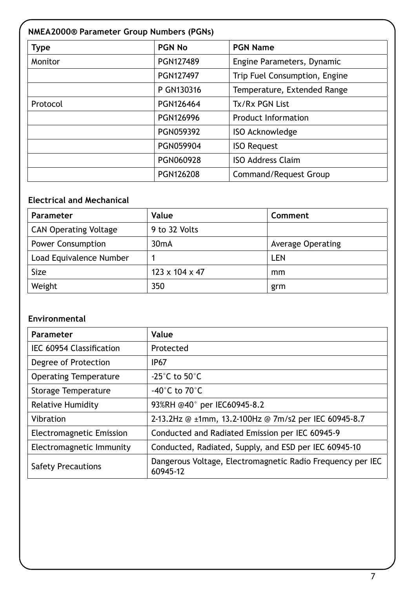# **Type PGN No PGN No PGN Name** Monitor **PGN127489** PGN127489 Engine Parameters, Dynamic PGN127497 | Trip Fuel Consumption, Engine P GN130316 Temperature, Extended Range Protocol PGN126464 Tx/Rx PGN List PGN126996 Product Information PGN059392 | ISO Acknowledge PGN059904 | ISO Request PGN060928 | ISO Address Claim PGN126208 Command/Request Group **NMEA2000® Parameter Group Numbers (PGNs)**

#### **Electrical and Mechanical**

| <b>Parameter</b>             | Value          | Comment           |
|------------------------------|----------------|-------------------|
| <b>CAN Operating Voltage</b> | 9 to 32 Volts  |                   |
| <b>Power Consumption</b>     | $30m$ A        | Average Operating |
| Load Equivalence Number      |                | LEN               |
| Size                         | 123 x 104 x 47 | mm                |
| Weight                       | 350            | grm               |

#### **Environmental**

| Parameter                       | Value                                                                  |
|---------------------------------|------------------------------------------------------------------------|
| IEC 60954 Classification        | Protected                                                              |
| Degree of Protection            | IP <sub>67</sub>                                                       |
| <b>Operating Temperature</b>    | -25 $^{\circ}$ C to 50 $^{\circ}$ C                                    |
| Storage Temperature             | -40 $^{\circ}$ C to 70 $^{\circ}$ C                                    |
| Relative Humidity               | 93%RH @40° per IEC60945-8.2                                            |
| Vibration                       | 2-13.2Hz @ ±1mm, 13.2-100Hz @ 7m/s2 per IEC 60945-8.7                  |
| <b>Electromagnetic Emission</b> | Conducted and Radiated Emission per IEC 60945-9                        |
| Electromagnetic Immunity        | Conducted, Radiated, Supply, and ESD per IEC 60945-10                  |
| <b>Safety Precautions</b>       | Dangerous Voltage, Electromagnetic Radio Frequency per IEC<br>60945-12 |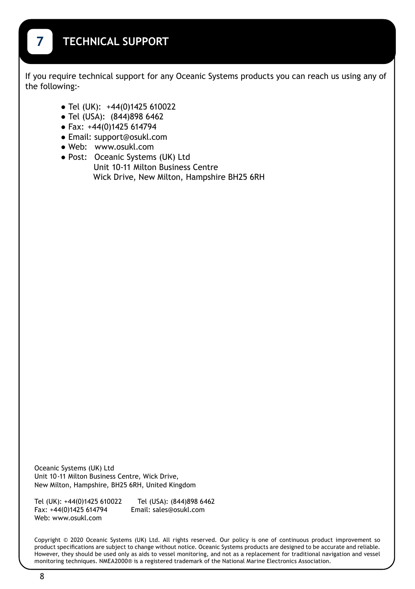If you require technical support for any Oceanic Systems products you can reach us using any of the following:-

- **●** Tel (UK): +44(0)1425 610022
- **●** Tel (USA): (844)898 6462
- **●** Fax: +44(0)1425 614794
- **●** Email: support@osukl.com
- **●** Web: www.osukl.com
- **●** Post: Oceanic Systems (UK) Ltd Unit 10-11 Milton Business Centre Wick Drive, New Milton, Hampshire BH25 6RH

Oceanic Systems (UK) Ltd Unit 10-11 Milton Business Centre, Wick Drive, New Milton, Hampshire, BH25 6RH, United Kingdom

Tel (UK): +44(0)1425 610022 Tel (USA): (844)898 6462 Fax: +44(0)1425 614794 Email: sales@osukl.com Web: www.osukl.com

Copyright © 2020 Oceanic Systems (UK) Ltd. All rights reserved. Our policy is one of continuous product improvement so product specifications are subject to change without notice. Oceanic Systems products are designed to be accurate and reliable. However, they should be used only as aids to vessel monitoring, and not as a replacement for traditional navigation and vessel monitoring techniques. NMEA2000® is a registered trademark of the National Marine Electronics Association.